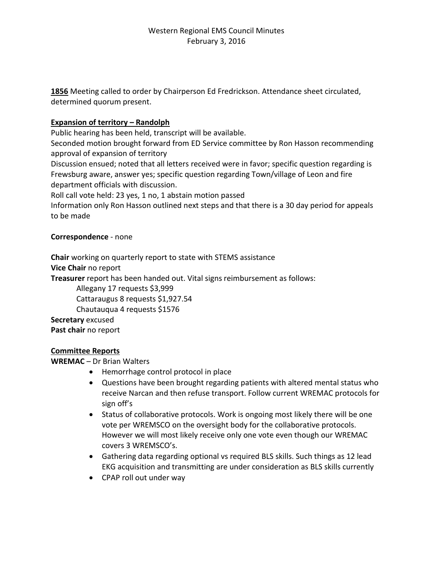**1856** Meeting called to order by Chairperson Ed Fredrickson. Attendance sheet circulated, determined quorum present.

## **Expansion of territory – Randolph**

Public hearing has been held, transcript will be available.

Seconded motion brought forward from ED Service committee by Ron Hasson recommending approval of expansion of territory

Discussion ensued; noted that all letters received were in favor; specific question regarding is Frewsburg aware, answer yes; specific question regarding Town/village of Leon and fire department officials with discussion.

Roll call vote held: 23 yes, 1 no, 1 abstain motion passed

Information only Ron Hasson outlined next steps and that there is a 30 day period for appeals to be made

#### **Correspondence** - none

**Chair** working on quarterly report to state with STEMS assistance

**Vice Chair** no report

**Treasurer** report has been handed out. Vital signs reimbursement as follows:

Allegany 17 requests \$3,999

Cattaraugus 8 requests \$1,927.54

Chautauqua 4 requests \$1576

**Secretary** excused **Past chair** no report

#### **Committee Reports**

**WREMAC** – Dr Brian Walters

- Hemorrhage control protocol in place
- Questions have been brought regarding patients with altered mental status who receive Narcan and then refuse transport. Follow current WREMAC protocols for sign off's
- Status of collaborative protocols. Work is ongoing most likely there will be one vote per WREMSCO on the oversight body for the collaborative protocols. However we will most likely receive only one vote even though our WREMAC covers 3 WREMSCO's.
- Gathering data regarding optional vs required BLS skills. Such things as 12 lead EKG acquisition and transmitting are under consideration as BLS skills currently
- CPAP roll out under way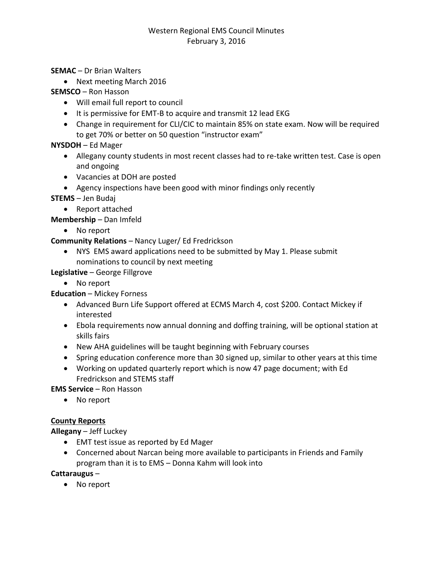# Western Regional EMS Council Minutes February 3, 2016

#### **SEMAC** – Dr Brian Walters

• Next meeting March 2016

### **SEMSCO** – Ron Hasson

- Will email full report to council
- It is permissive for EMT-B to acquire and transmit 12 lead EKG
- Change in requirement for CLI/CIC to maintain 85% on state exam. Now will be required to get 70% or better on 50 question "instructor exam"

## **NYSDOH** – Ed Mager

- Allegany county students in most recent classes had to re-take written test. Case is open and ongoing
- Vacancies at DOH are posted
- Agency inspections have been good with minor findings only recently

#### **STEMS** – Jen Budaj

• Report attached

**Membership** – Dan Imfeld

• No report

## **Community Relations** – Nancy Luger/ Ed Fredrickson

 NYS EMS award applications need to be submitted by May 1. Please submit nominations to council by next meeting

## **Legislative** – George Fillgrove

No report

# **Education** – Mickey Forness

- Advanced Burn Life Support offered at ECMS March 4, cost \$200. Contact Mickey if interested
- Ebola requirements now annual donning and doffing training, will be optional station at skills fairs
- New AHA guidelines will be taught beginning with February courses
- Spring education conference more than 30 signed up, similar to other years at this time
- Working on updated quarterly report which is now 47 page document; with Ed Fredrickson and STEMS staff

**EMS Service** – Ron Hasson

No report

# **County Reports**

**Allegany** – Jeff Luckey

- EMT test issue as reported by Ed Mager
- Concerned about Narcan being more available to participants in Friends and Family program than it is to EMS – Donna Kahm will look into

#### **Cattaraugus** –

• No report